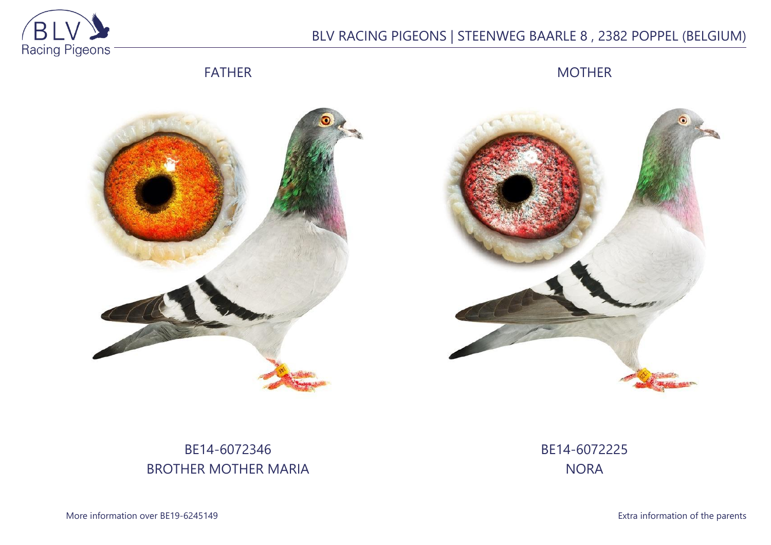

# BLV RACING PIGEONS | STEENWEG BAARLE 8 , 2382 POPPEL (BELGIUM)

FATHER

MOTHER





# BE14-6072346 BROTHER MOTHER MARIA

BE14-6072225 **NORA** 

More information over BE19-6245149 **Extra information of the parents**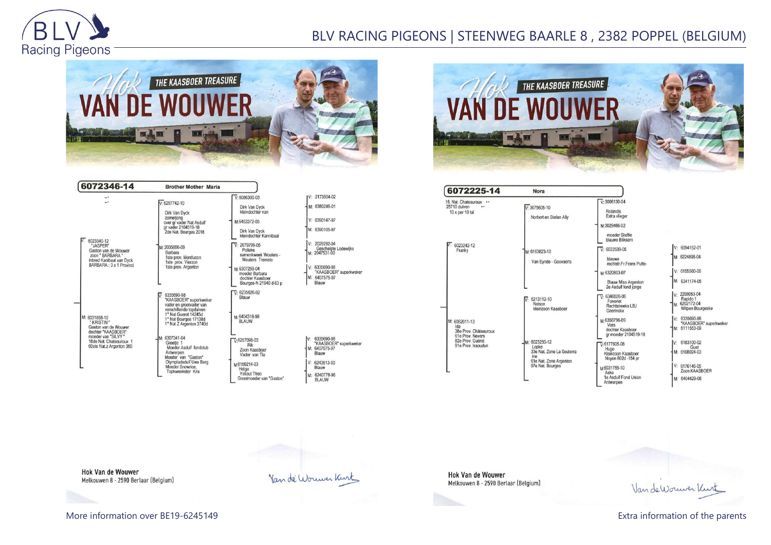

# BLV RACING PIGEONS | STEENWEG BAARLE 8 , 2382 POPPEL (BELGIUM)



| 6072346-14                                                                                                                                               | <b>Brother Mother Maria</b>                                                                                                                                            |                                                                                                                                 |                                                                                                                                    |
|----------------------------------------------------------------------------------------------------------------------------------------------------------|------------------------------------------------------------------------------------------------------------------------------------------------------------------------|---------------------------------------------------------------------------------------------------------------------------------|------------------------------------------------------------------------------------------------------------------------------------|
|                                                                                                                                                          | $V·6297742-10$<br>Dirk Van Dyck<br>zomerjong<br>over gr vader Nat Asduif                                                                                               | $V: 6086300 - 03$<br>Dirk Van Dyck<br>kleindochter van<br>M:6453372-05                                                          | V: 2173504-02<br>M: 6380246-01<br>V: 6390147-97                                                                                    |
| 6023340-12<br>"JASPER"<br>Gaston van de Wouwer<br>zoon " BARBARA "<br>inbred Kanibaal van Dyck<br>BARBARA: 3 x 1 Provinci                                | gr vader 2104519-18<br>2de Nat. Bourges 2018<br>M: 2035886-09<br>Barbara<br>1ste prov. Montlucon<br>1ste prov. Vierzon<br>1ste prov. Argenton                          | Dirk Van Dyck<br>kleindochter Kannibaal<br>$\overline{V}$ 2079799-05<br>Polleke<br>samenkweek Wouters -<br>Wouters Tremelo      | M: 6390105-97<br>$V: 2029292-04$<br>Geschelpte Lodewijkx<br>M: 2047531-00                                                          |
|                                                                                                                                                          |                                                                                                                                                                        | M:6307259-04<br>moeder Barbara<br>dochter Kaasboer<br>Bourges-N 21940 d-63 p                                                    | V: 6335690-98<br>"KAASBOER" superkweker<br>M: 6407575-97<br>Blauw                                                                  |
| M: 6031858-10<br>* KRISTIN *<br>Gaston van de Wouwer<br>dochter "KAASBOER"<br>moeder van "SILVY "<br>18de Nat. Chateauroux 1<br>60ste Nat.z Argenton 380 | 6335690-98<br>"KAASBOER" superkweker<br>vader en grootvader van<br>verschillende topduiven<br>1° Nat Gueret 14245d<br>1° Nat Bourges 17138d<br>1° Nat Z Argenton 3740d | $\overline{V}$ 6235626-92<br>Blauw<br>M:6404318-96<br><b>BLAUW</b>                                                              |                                                                                                                                    |
|                                                                                                                                                          | M: 6307341-04<br>Greetie 1<br>Moeder Asduif fondclub<br>Antwerpen<br>Moeder van "Gaston"<br>Olympiadeduif Uwe Berg<br>Moeder Snowrice,<br>Topkweekster Kris            | $\nabla 6257098-03$<br>Rik<br>Zoon Kaasboer<br>Vader van Tia<br>M6150214-03<br>Helga<br>Yskout Theo<br>Grootmoeder van "Gaston" | 6335690-98<br>IV:<br>"KAASBOER" superkweker<br>M: 6407575-97<br>Blauw<br>$V: 6243513-00$<br>Blauw<br>M: 6240778-96<br><b>BLAUW</b> |



| 6072225-14                                                                                                  | Nora                                                                                                     |                                                                                                                                                                    |                                                                                                                                             |
|-------------------------------------------------------------------------------------------------------------|----------------------------------------------------------------------------------------------------------|--------------------------------------------------------------------------------------------------------------------------------------------------------------------|---------------------------------------------------------------------------------------------------------------------------------------------|
| 16. Nat. Chateauroux<br>25710 duiven<br><br>$10 \times$ per $10$ tal                                        | $V: 3075605 - 10$<br>Norbert en Stefan Ally                                                              | $V: 3006130 - 04$<br>Rolandis<br>Extra vlieger<br>M:3029466-02                                                                                                     |                                                                                                                                             |
| 6023242-12<br>Franky                                                                                        | M: 6163823-10<br>Van Eynde - Goovaerts                                                                   | moeder Steffie<br>blauwe Bliksem<br>$V: 6032539-05$<br>blauwe<br>rechtstr.Fr.Frans Putte-<br>M:6320803-07                                                          | V: 6094152-01<br>M: 6224806-04<br>$V: 6155580-06$                                                                                           |
| M: 6062011-13<br>Ida<br>38e Prov. Châteauroux<br>61e Prov. Nevers<br>82e Prov. Guéret<br>91e Prov. Issoudun | 6213112-10<br>ĪV.<br>Nelson<br>kleinzoon Kaasboer                                                        | <b>Blauw Miss Argenton</b><br>2e Asduif fond jonge<br>$\overline{V}$ : 6346026-06<br>Favoriet<br>Rechtstreeks LBJ<br>Geerinckx                                     | M: 6341174-05<br>v: 2298053-04<br>Rapido 1<br>M: 6202172-04<br>Witpen Bourgeske                                                             |
|                                                                                                             | M: 6023250-12<br>Looke<br>33e Nat. Zone La Souterra<br>ine<br>61e Nat. Zone Argenton<br>97e Nat. Bourges | M:6358796-09<br>Vera<br>dochter Kaasboer<br>ar moeder 2104519-18<br>$\nabla 6177605-08$<br>Hugo<br>Kleinzoon Kaasboer<br>Noyon 802d -154 pr<br>M6031765-10<br>Aske | $V: 6335690-98$<br>"KAASBOER" superkweke<br>M: 6111553-09<br>6183100-02<br>IV÷<br>Gust<br>M: 6108024-03<br>$V: 6176146-05$<br>Zoon KAASBOER |
|                                                                                                             |                                                                                                          | 1e Asduif Fond Union<br>Antwerpen                                                                                                                                  | M: 6404429-06                                                                                                                               |

**Hok Van de Wouwer** Melkouwen 8 - 2590 Berlaar (Belgium)

Hok Van de Wouwer Melkouwen 8 - 2590 Berlaar (Belgium)

Van de Wouwer Kurt

Van de Wouwer Kurt

More information over BE19-6245149 **Extra information of the parents**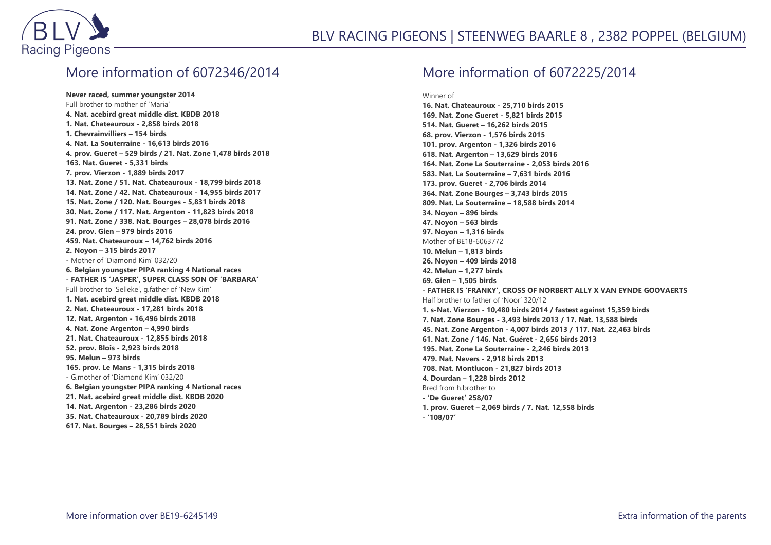

#### More information of 6072346/2014

**Never raced, summer youngster 2014** Full brother to mother of 'Maria' **4. Nat. acebird great middle dist. KBDB 2018 1. Nat. Chateauroux - 2,858 birds 2018 1. Chevrainvilliers – 154 birds 4. Nat. La Souterraine - 16,613 birds 2016 4. prov. Gueret – 529 birds / 21. Nat. Zone 1,478 birds 2018 163. Nat. Gueret - 5,331 birds 7. prov. Vierzon - 1,889 birds 2017 13. Nat. Zone / 51. Nat. Chateauroux - 18,799 birds 2018 14. Nat. Zone / 42. Nat. Chateauroux - 14,955 birds 2017 15. Nat. Zone / 120. Nat. Bourges - 5,831 birds 2018 30. Nat. Zone / 117. Nat. Argenton - 11,823 birds 2018 91. Nat. Zone / 338. Nat. Bourges – 28,078 birds 2016 24. prov. Gien – 979 birds 2016 459. Nat. Chateauroux – 14,762 birds 2016 2. Noyon – 315 birds 2017 -** Mother of 'Diamond Kim' 032/20 **6. Belgian youngster PIPA ranking 4 National races - FATHER IS 'JASPER', SUPER CLASS SON OF 'BARBARA'** Full brother to 'Selleke', g.father of 'New Kim' **1. Nat. acebird great middle dist. KBDB 2018 2. Nat. Chateauroux - 17,281 birds 2018 12. Nat. Argenton - 16,496 birds 2018 4. Nat. Zone Argenton – 4,990 birds 21. Nat. Chateauroux - 12,855 birds 2018 52. prov. Blois - 2,923 birds 2018 95. Melun – 973 birds 165. prov. Le Mans - 1,315 birds 2018 -** G.mother of 'Diamond Kim' 032/20 **6. Belgian youngster PIPA ranking 4 National races 21. Nat. acebird great middle dist. KBDB 2020 14. Nat. Argenton - 23,286 birds 2020 35. Nat. Chateauroux - 20,789 birds 2020 617. Nat. Bourges – 28,551 birds 2020**

#### More information of 6072225/2014

Winner of

**16. Nat. Chateauroux - 25,710 birds 2015 169. Nat. Zone Gueret - 5,821 birds 2015 514. Nat. Gueret – 16,262 birds 2015 68. prov. Vierzon - 1,576 birds 2015 101. prov. Argenton - 1,326 birds 2016 618. Nat. Argenton – 13,629 birds 2016 164. Nat. Zone La Souterraine - 2,053 birds 2016 583. Nat. La Souterraine – 7,631 birds 2016 173. prov. Gueret - 2,706 birds 2014 364. Nat. Zone Bourges – 3,743 birds 2015 809. Nat. La Souterraine – 18,588 birds 2014 34. Noyon – 896 birds 47. Noyon – 563 birds 97. Noyon – 1,316 birds** Mother of BE18-6063772 **10. Melun – 1,813 birds 26. Noyon – 409 birds 2018 42. Melun – 1,277 birds 69. Gien – 1,505 birds - FATHER IS 'FRANKY', CROSS OF NORBERT ALLY X VAN EYNDE GOOVAERTS** Half brother to father of 'Noor' 320/12 **1. s-Nat. Vierzon - 10,480 birds 2014 / fastest against 15,359 birds 7. Nat. Zone Bourges - 3,493 birds 2013 / 17. Nat. 13,588 birds 45. Nat. Zone Argenton - 4,007 birds 2013 / 117. Nat. 22,463 birds 61. Nat. Zone / 146. Nat. Guéret - 2,656 birds 2013 195. Nat. Zone La Souterraine - 2,246 birds 2013 479. Nat. Nevers - 2,918 birds 2013 708. Nat. Montlucon - 21,827 birds 2013 4. Dourdan – 1,228 birds 2012** Bred from h.brother to **- 'De Gueret' 258/07 1. prov. Gueret – 2,069 birds / 7. Nat. 12,558 birds**

**- '108/07'**